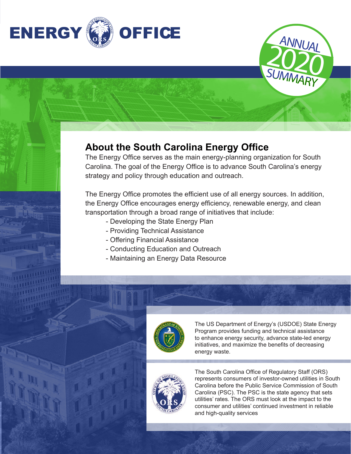

### **About the South Carolina Energy Office**

The Energy Office serves as the main energy-planning organization for South Carolina. The goal of the Energy Office is to advance South Carolina's energy strategy and policy through education and outreach.

The Energy Office promotes the efficient use of all energy sources. In addition, the Energy Office encourages energy efficiency, renewable energy, and clean transportation through a broad range of initiatives that include:

- Developing the State Energy Plan
- Providing Technical Assistance
- Offering Financial Assistance
- Conducting Education and Outreach
- Maintaining an Energy Data Resource



The US Department of Energy's (USDOE) State Energy Program provides funding and technical assistance to enhance energy security, advance state-led energy initiatives, and maximize the benefits of decreasing energy waste.

**2020** 

SUMMARY

ANNUAL



The South Carolina Office of Regulatory Staff (ORS) represents consumers of investor-owned utilities in South Carolina before the Public Service Commission of South Carolina (PSC). The PSC is the state agency that sets utilities' rates. The ORS must look at the impact to the consumer and utilities' continued investment in reliable and high-quality services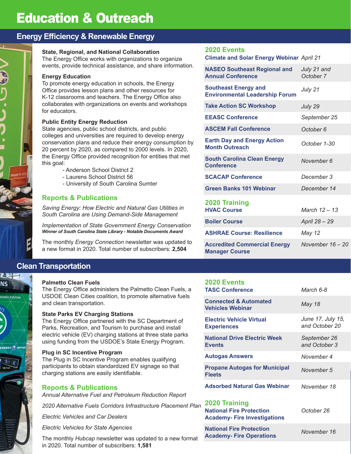### **Energy Efficiency & Renewable Energy**

### **State, Regional, and National Collaboration**

The Energy Office works with organizations to organize events, provide technical assistance, and share information.

### **Energy Education**

D S

תי<br>כ

利率日 **NS** 

**RGING STATION** 

To promote energy education in schools, the Energy Office provides lesson plans and other resources for K-12 classrooms and teachers. The Energy Office also collaborates with organizations on events and workshops for educators.

### **Public Entity Energy Reduction**

State agencies, public school districts, and public colleges and universities are required to develop energy conservation plans and reduce their energy consumption by 20 percent by 2020, as compared to 2000 levels. In 2020, the Energy Office provided recognition for entities that met this goal:

- Anderson School District 2
- Laurens School District 56
- University of South Carolina Sumter

### **Reports & Publications**

*Saving Energy: How Electric and Natural Gas Utilities in South Carolina are Using Demand-Side Management*

*Implementation of State Government Energy Conservation Winner of South Carolina State Library - Notable Documents Award*

The monthly *Energy Connection* newsletter was updated to a new format in 2020. Total number of subscribers: **2,504**

### **Clean Transportation**

#### **Palmetto Clean Fuels**

The Energy Office administers the Palmetto Clean Fuels, a USDOE Clean Cities coalition, to promote alternative fuels and clean transportation.

#### **State Parks EV Charging Stations**

The Energy Office partnered with the SC Department of Parks, Recreation, and Tourism to purchase and install electric vehicle (EV) charging stations at three state parks using funding from the USDOE's State Energy Program.

#### **Plug in SC Incentive Program**

The Plug in SC Incentive Program enables qualifying participants to obtain standardized EV signage so that charging stations are easily identifiable.

### **Reports & Publications**

*Annual Alternative Fuel and Petroleum Reduction Report*

*2020 Alternative Fuels Corridors Infrastructure Placement Plan* **2020 Training**

*Electric Vehicles and Car Dealers*

*Electric Vehicles for State Agencies* 

The monthly *Hubcap* newsletter was updated to a new format in 2020. Total number of subscribers: **1,581**

### **2020 Events**

*April 21* **Climate and Solar Energy Webinar**

| <b>NASEO Southeast Regional and</b><br><b>Annual Conference</b>      | July 21 and<br>October 7 |
|----------------------------------------------------------------------|--------------------------|
| <b>Southeast Energy and</b><br><b>Environmental Leadership Forum</b> | July 21                  |
| <b>Take Action SC Workshop</b>                                       | July 29                  |
| <b>EEASC Conference</b>                                              | September 25             |
| <b>ASCEM Fall Conference</b>                                         | October 6                |
| <b>Earth Day and Energy Action</b><br><b>Month Outreach</b>          | October 1-30             |
| <b>South Carolina Clean Energy</b><br><b>Conference</b>              | November 6               |
| <b>SCACAP Conference</b>                                             | December 3               |
| <b>Green Banks 101 Webinar</b>                                       | December 14              |
| 2020 Training<br><b>HVAC Course</b>                                  | March $12 - 13$          |
| <b>Boiler Course</b>                                                 | April 28 - 29            |
| <b>ASHRAE Course: Resilience</b>                                     | May 12                   |
| <b>Accredited Commercial Energy</b><br><b>Manager Course</b>         | November $16 - 20$       |

### **2020 Events TASC Conference**

| <b>Connected &amp; Automated</b><br><b>Vehicles Webinar</b> | May 18                              |
|-------------------------------------------------------------|-------------------------------------|
| <b>Electric Vehicle Virtual</b><br><b>Experiences</b>       | June 17, July 15,<br>and October 20 |
| <b>National Drive Electric Week</b><br><b>Events</b>        | September 26<br>and October 3       |
| <b>Autogas Answers</b>                                      | November 4                          |
| <b>Propane Autogas for Municipal</b><br><b>Fleets</b>       | November 5                          |
| <b>Adsorbed Natural Gas Webinar</b>                         | November 18                         |
|                                                             |                                     |

*March 6-8* 

| <b>National Fire Protection</b><br><b>Academy-Fire Investigations</b> | October 26  |
|-----------------------------------------------------------------------|-------------|
| <b>National Fire Protection</b><br><b>Academy-Fire Operations</b>     | November 16 |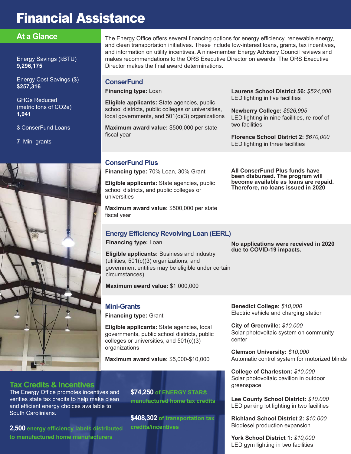## **Financial Assistance**

### **At a Glance**

Energy Savings (kBTU) **9,296,175**

Energy Cost Savings (\$) **\$257,316**

GHGs Reduced (metric tons of CO2e) **1,941**

**3** ConserFund Loans

**7** Mini-grants



The Energy Office offers several financing options for energy efficiency, renewable energy, and clean transportation initiatives. These include low-interest loans, grants, tax incentives, and information on utility incentives. A nine-member Energy Advisory Council reviews and makes recommendations to the ORS Executive Director on awards. The ORS Executive Director makes the final award determinations.

### **ConserFund**

**Financing type:** Loan

**Eligible applicants:** State agencies, public school districts, public colleges or universities, local governments, and 501(c)(3) organizations

**Maximum award value:** \$500,000 per state fiscal year

**Laurens School District 56:** *\$524,000* LED lighting in five facilities

**Newberry College:** *\$526,995* LED lighting in nine facilities, re-roof of two facilities

**Florence School District 2:** *\$670,000* LED lighting in three facilities

**All ConserFund Plus funds have been disbursed. The program will become available as loans are repaid. Therefore, no loans issued in 2020**

### **ConserFund Plus**

**Financing type:** 70% Loan, 30% Grant

**Eligible applicants:** State agencies, public school districts, and public colleges or universities

**Maximum award value:** \$500,000 per state fiscal year

### **Energy Efficiency Revolving Loan (EERL)**

**Financing type:** Loan

**Eligible applicants:** Business and industry (utilities, 501(c)(3) organizations, and government entities may be eligible under certain circumstances)

**Maximum award value:** \$1,000,000

### **Mini-Grants**

**Financing type:** Grant

**Eligible applicants:** State agencies, local governments, public school districts, public colleges or universities, and 501(c)(3) organizations

**Maximum award value:** \$5,000-\$10,000

**Tax Credits & Incentives**

The Energy Office promotes incentives and verifies state tax credits to help make clean and efficient energy choices available to South Carolinians.

**2,500 energy efficiency labels distributed to manufactured home manufacturers**

**\$74,250 of ENERGY STAR® manufactured home tax credits**

**\$408,302 of transportation tax credits/incentives**

**No applications were received in 2020 due to COVID-19 impacts.**

**Benedict College:** *\$10,000* Electric vehicle and charging station

**City of Greenville:** *\$10,000* Solar photovoltaic system on community center

**Clemson University:** *\$10,000* Automatic control system for motorized blinds

**College of Charleston:** *\$10,000* Solar photovoltaic pavilion in outdoor greenspace

**Lee County School District:** *\$10,000* LED parking lot lighting in two facilities

**Richland School District 2:** *\$10,000* Biodiesel production expansion

**York School District 1:** *\$10,000* LED gym lighting in two facilities